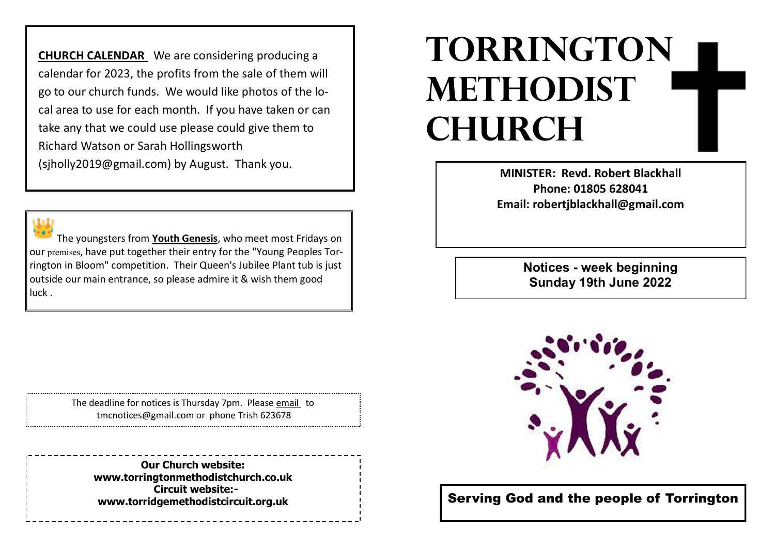**CHURCH CALENDAR** We are considering producing a calendar for 2023, the profits from the sale of them will go to our church funds. We would like photos of the local area to use for each month. If you have taken or can take any that we could use please could give them to Richard Watson or Sarah Hollingsworth

(sjholly2019@gmail.com) by August. Thank you.

The youngsters from **Youth Genesis**, who meet most Fridays on our premises, have put together their entry for the "Young Peoples Torrington in Bloom" competition. Their Queen's Jubilee Plant tub is just outside our main entrance, so please admire it & wish them good luck .

> The deadline for notices is Thursday 7pm. Please email to tmcnotices@gmail.com or phone Trish 623678

**Our Church website: www.torringtonmethodistchurch.co.uk Circuit website: www.torridgemethodistcircuit.org.uk**

## **TORRINGTON METHODIST CHURCH**

**MINISTER: Revd. Robert Blackhall Phone: 01805 628041 Email: robertjblackhall@gmail.com**

> **Notices - week beginning Sunday 19th June 2022**



Serving God and the people of Torrington